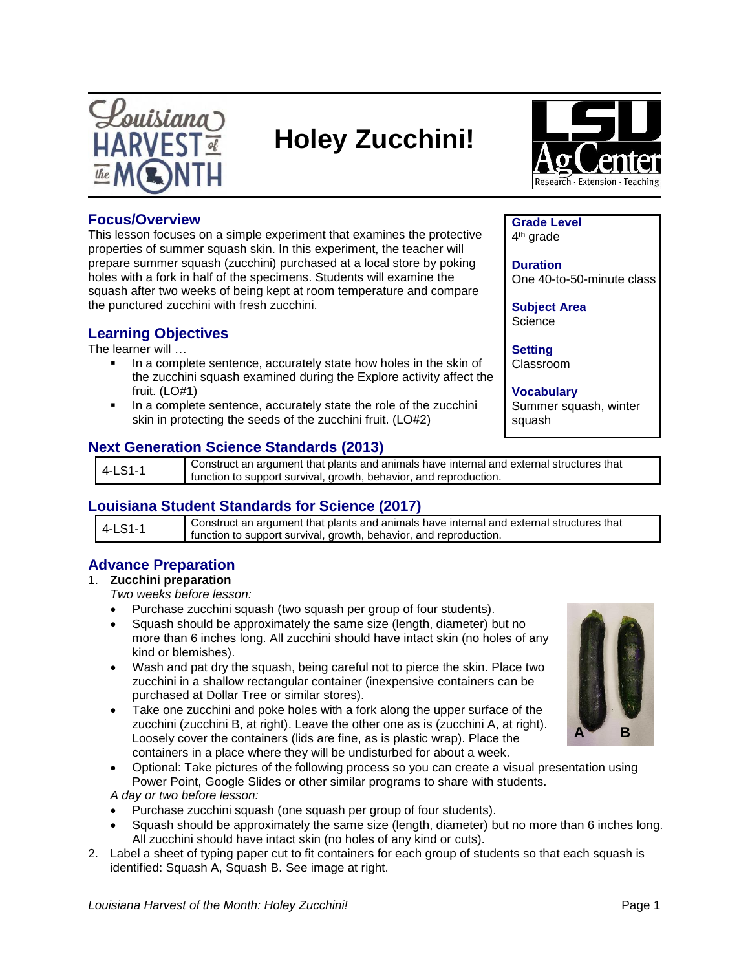

# **Holey Zucchini!**



**Grade Level** 4<sup>th</sup> grade

**Subject Area Science** 

**Duration**

**Setting** Classroom

## **Focus/Overview**

This lesson focuses on a simple experiment that examines the protective properties of summer squash skin. In this experiment, the teacher will prepare summer squash (zucchini) purchased at a local store by poking holes with a fork in half of the specimens. Students will examine the squash after two weeks of being kept at room temperature and compare the punctured zucchini with fresh zucchini.

# **Learning Objectives**

The learner will …

- In a complete sentence, accurately state how holes in the skin of the zucchini squash examined during the Explore activity affect the fruit. (LO#1)
- In a complete sentence, accurately state the role of the zucchini skin in protecting the seeds of the zucchini fruit. (LO#2)

# **Next Generation Science Standards (2013)**

4-LS1-1 Construct an argument that plants and animals have internal and external structures that function to support survival, growth, behavior, and reproduction.

# **Louisiana Student Standards for Science (2017)**

| 4-LS1-1 | Construct an argument that plants and animals have internal and external structures that<br>function to support survival, growth, behavior, and reproduction. |
|---------|---------------------------------------------------------------------------------------------------------------------------------------------------------------|

# **Advance Preparation**

## 1. **Zucchini preparation**

*Two weeks before lesson:*

- Purchase zucchini squash (two squash per group of four students).
- Squash should be approximately the same size (length, diameter) but no more than 6 inches long. All zucchini should have intact skin (no holes of any kind or blemishes).
- Wash and pat dry the squash, being careful not to pierce the skin. Place two zucchini in a shallow rectangular container (inexpensive containers can be purchased at Dollar Tree or similar stores).
- Take one zucchini and poke holes with a fork along the upper surface of the zucchini (zucchini B, at right). Leave the other one as is (zucchini A, at right). Loosely cover the containers (lids are fine, as is plastic wrap). Place the containers in a place where they will be undisturbed for about a week.
- Optional: Take pictures of the following process so you can create a visual presentation using Power Point, Google Slides or other similar programs to share with students.

*A day or two before lesson:*

- Purchase zucchini squash (one squash per group of four students).
- Squash should be approximately the same size (length, diameter) but no more than 6 inches long. All zucchini should have intact skin (no holes of any kind or cuts).
- 2. Label a sheet of typing paper cut to fit containers for each group of students so that each squash is identified: Squash A, Squash B. See image at right.



**Vocabulary** Summer squash, winter squash

One 40-to-50-minute class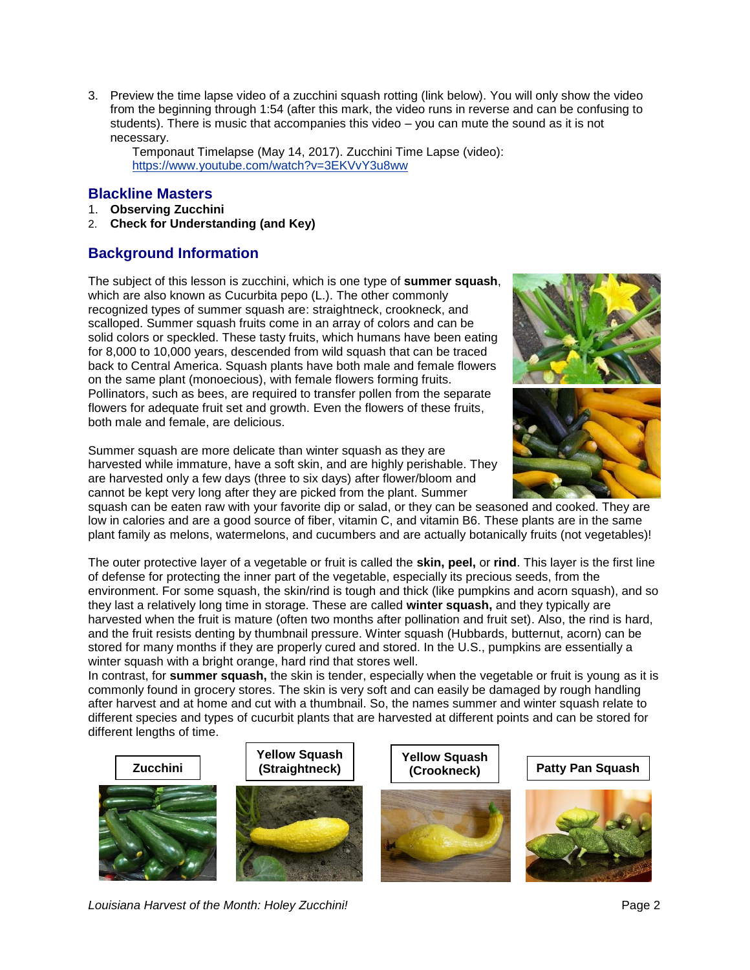3. Preview the time lapse video of a zucchini squash rotting (link below). You will only show the video from the beginning through 1:54 (after this mark, the video runs in reverse and can be confusing to students). There is music that accompanies this video – you can mute the sound as it is not necessary.

Temponaut Timelapse (May 14, 2017). Zucchini Time Lapse (video): <https://www.youtube.com/watch?v=3EKVvY3u8ww>

## **Blackline Masters**

- 1. **Observing Zucchini**
- 2. **Check for Understanding (and Key)**

# **Background Information**

The subject of this lesson is zucchini, which is one type of **summer squash**, which are also known as Cucurbita pepo (L.). The other commonly recognized types of summer squash are: straightneck, crookneck, and scalloped. Summer squash fruits come in an array of colors and can be solid colors or speckled. These tasty fruits, which humans have been eating for 8,000 to 10,000 years, descended from wild squash that can be traced back to Central America. Squash plants have both male and female flowers on the same plant (monoecious), with female flowers forming fruits. Pollinators, such as bees, are required to transfer pollen from the separate flowers for adequate fruit set and growth. Even the flowers of these fruits, both male and female, are delicious.

Summer squash are more delicate than winter squash as they are harvested while immature, have a soft skin, and are highly perishable. They are harvested only a few days (three to six days) after flower/bloom and cannot be kept very long after they are picked from the plant. Summer



squash can be eaten raw with your favorite dip or salad, or they can be seasoned and cooked. They are low in calories and are a good source of fiber, vitamin C, and vitamin B6. These plants are in the same plant family as melons, watermelons, and cucumbers and are actually botanically fruits (not vegetables)!

The outer protective layer of a vegetable or fruit is called the **skin, peel,** or **rind**. This layer is the first line of defense for protecting the inner part of the vegetable, especially its precious seeds, from the environment. For some squash, the skin/rind is tough and thick (like pumpkins and acorn squash), and so they last a relatively long time in storage. These are called **winter squash,** and they typically are harvested when the fruit is mature (often two months after pollination and fruit set). Also, the rind is hard, and the fruit resists denting by thumbnail pressure. Winter squash (Hubbards, butternut, acorn) can be stored for many months if they are properly cured and stored. In the U.S., pumpkins are essentially a winter squash with a bright orange, hard rind that stores well.

In contrast, for **summer squash,** the skin is tender, especially when the vegetable or fruit is young as it is commonly found in grocery stores. The skin is very soft and can easily be damaged by rough handling after harvest and at home and cut with a thumbnail. So, the names summer and winter squash relate to different species and types of cucurbit plants that are harvested at different points and can be stored for different lengths of time.



*Louisiana Harvest of the Month: Holey Zucchini!* Page 2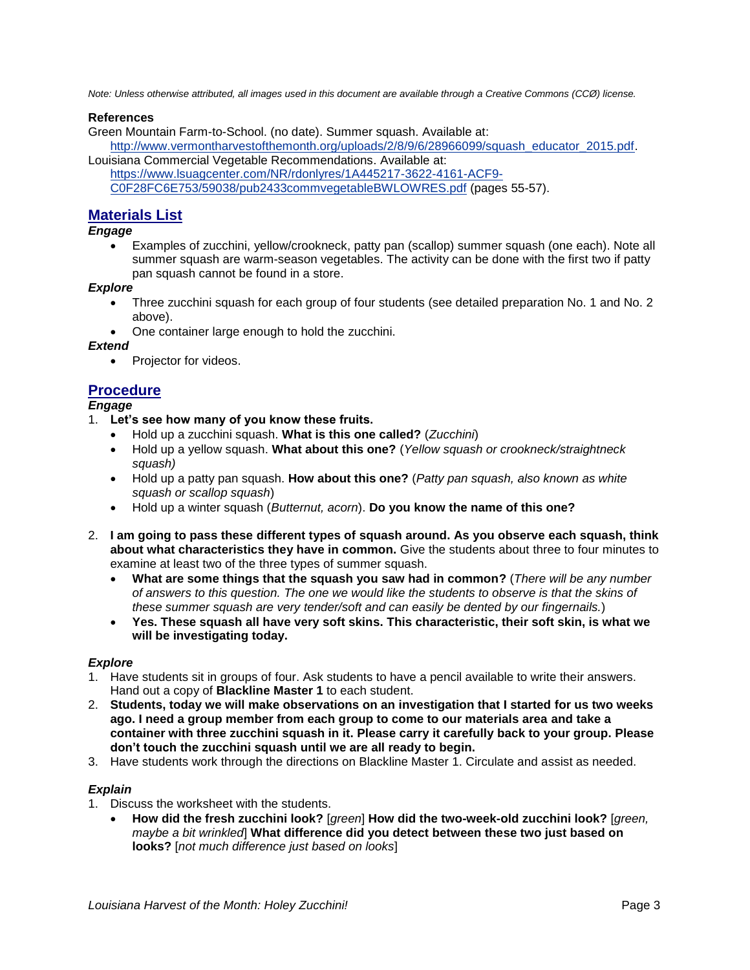*Note: Unless otherwise attributed, all images used in this document are available through a Creative Commons (CCØ) license.* 

#### **References**

Green Mountain Farm-to-School. (no date). Summer squash. Available at:

[http://www.vermontharvestofthemonth.org/uploads/2/8/9/6/28966099/squash\\_educator\\_2015.pdf.](http://www.vermontharvestofthemonth.org/uploads/2/8/9/6/28966099/squash_educator_2015.pdf) Louisiana Commercial Vegetable Recommendations. Available at:

[https://www.lsuagcenter.com/NR/rdonlyres/1A445217-3622-4161-ACF9-](https://www.lsuagcenter.com/NR/rdonlyres/1A445217-3622-4161-ACF9-C0F28FC6E753/59038/pub2433commvegetableBWLOWRES.pdf)

[C0F28FC6E753/59038/pub2433commvegetableBWLOWRES.pdf](https://www.lsuagcenter.com/NR/rdonlyres/1A445217-3622-4161-ACF9-C0F28FC6E753/59038/pub2433commvegetableBWLOWRES.pdf) (pages 55-57).

## **Materials List**

*Engage*

 Examples of zucchini, yellow/crookneck, patty pan (scallop) summer squash (one each). Note all summer squash are warm-season vegetables. The activity can be done with the first two if patty pan squash cannot be found in a store.

#### *Explore*

- Three zucchini squash for each group of four students (see detailed preparation No. 1 and No. 2 above).
- One container large enough to hold the zucchini.

#### *Extend*

• Projector for videos.

## **Procedure**

#### *Engage*

- 1. **Let's see how many of you know these fruits.**
	- Hold up a zucchini squash. **What is this one called?** (*Zucchini*)
	- Hold up a yellow squash. **What about this one?** (*Yellow squash or crookneck/straightneck squash)*
	- Hold up a patty pan squash. **How about this one?** (*Patty pan squash, also known as white squash or scallop squash*)
	- Hold up a winter squash (*Butternut, acorn*). **Do you know the name of this one?**
- 2. **I am going to pass these different types of squash around. As you observe each squash, think about what characteristics they have in common.** Give the students about three to four minutes to examine at least two of the three types of summer squash.
	- **What are some things that the squash you saw had in common?** (*There will be any number of answers to this question. The one we would like the students to observe is that the skins of these summer squash are very tender/soft and can easily be dented by our fingernails.*)
	- **Yes. These squash all have very soft skins. This characteristic, their soft skin, is what we will be investigating today.**

#### *Explore*

- 1. Have students sit in groups of four. Ask students to have a pencil available to write their answers. Hand out a copy of **Blackline Master 1** to each student.
- 2. **Students, today we will make observations on an investigation that I started for us two weeks ago. I need a group member from each group to come to our materials area and take a container with three zucchini squash in it. Please carry it carefully back to your group. Please don't touch the zucchini squash until we are all ready to begin.**
- 3. Have students work through the directions on Blackline Master 1. Circulate and assist as needed.

#### *Explain*

- 1. Discuss the worksheet with the students.
	- **How did the fresh zucchini look?** [*green*] **How did the two-week-old zucchini look?** [*green, maybe a bit wrinkled*] **What difference did you detect between these two just based on looks?** [*not much difference just based on looks*]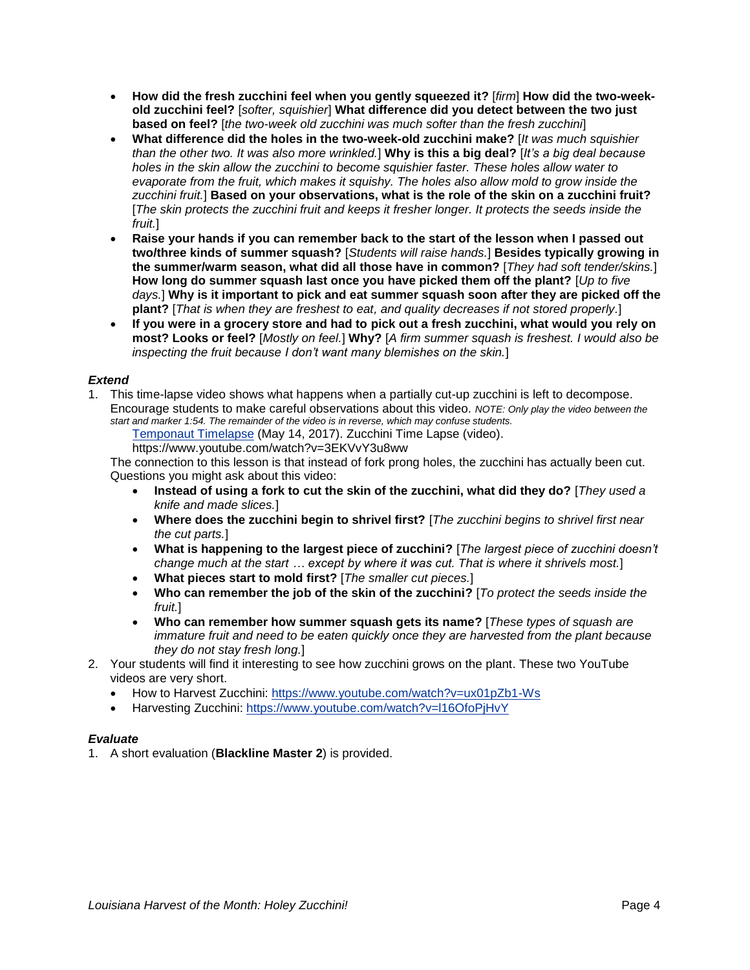- **How did the fresh zucchini feel when you gently squeezed it?** [*firm*] **How did the two-weekold zucchini feel?** [*softer, squishier*] **What difference did you detect between the two just based on feel?** [*the two-week old zucchini was much softer than the fresh zucchini*]
- **What difference did the holes in the two-week-old zucchini make?** [*It was much squishier than the other two. It was also more wrinkled.*] **Why is this a big deal?** [*It's a big deal because holes in the skin allow the zucchini to become squishier faster. These holes allow water to evaporate from the fruit, which makes it squishy. The holes also allow mold to grow inside the zucchini fruit.*] **Based on your observations, what is the role of the skin on a zucchini fruit?** [*The skin protects the zucchini fruit and keeps it fresher longer. It protects the seeds inside the fruit.*]
- **Raise your hands if you can remember back to the start of the lesson when I passed out two/three kinds of summer squash?** [*Students will raise hands.*] **Besides typically growing in the summer/warm season, what did all those have in common?** [*They had soft tender/skins.*] **How long do summer squash last once you have picked them off the plant?** [*Up to five days.*] **Why is it important to pick and eat summer squash soon after they are picked off the plant?** [*That is when they are freshest to eat, and quality decreases if not stored properly.*]
- **If you were in a grocery store and had to pick out a fresh zucchini, what would you rely on most? Looks or feel?** [*Mostly on feel.*] **Why?** [*A firm summer squash is freshest. I would also be inspecting the fruit because I don't want many blemishes on the skin.*]

#### *Extend*

1. This time-lapse video shows what happens when a partially cut-up zucchini is left to decompose. Encourage students to make careful observations about this video. *NOTE: Only play the video between the start and marker 1:54. The remainder of the video is in reverse, which may confuse students.*

[Temponaut Timelapse](https://youtu.be/3EKVvY3u8ww) (May 14, 2017). Zucchini Time Lapse (video).

https://www.youtube.com/watch?v=3EKVvY3u8ww

The connection to this lesson is that instead of fork prong holes, the zucchini has actually been cut. Questions you might ask about this video:

- **Instead of using a fork to cut the skin of the zucchini, what did they do?** [*They used a knife and made slices.*]
- **Where does the zucchini begin to shrivel first?** [*The zucchini begins to shrivel first near the cut parts.*]
- **What is happening to the largest piece of zucchini?** [*The largest piece of zucchini doesn't change much at the start … except by where it was cut. That is where it shrivels most.*]
- **What pieces start to mold first?** [*The smaller cut pieces.*]
- **Who can remember the job of the skin of the zucchini?** [*To protect the seeds inside the fruit.*]
- **Who can remember how summer squash gets its name?** [*These types of squash are immature fruit and need to be eaten quickly once they are harvested from the plant because they do not stay fresh long.*]
- 2. Your students will find it interesting to see how zucchini grows on the plant. These two YouTube videos are very short.
	- How to Harvest Zucchini:<https://www.youtube.com/watch?v=ux01pZb1-Ws>
	- Harvesting Zucchini: <https://www.youtube.com/watch?v=l16OfoPjHvY>

## *Evaluate*

1. A short evaluation (**Blackline Master 2**) is provided.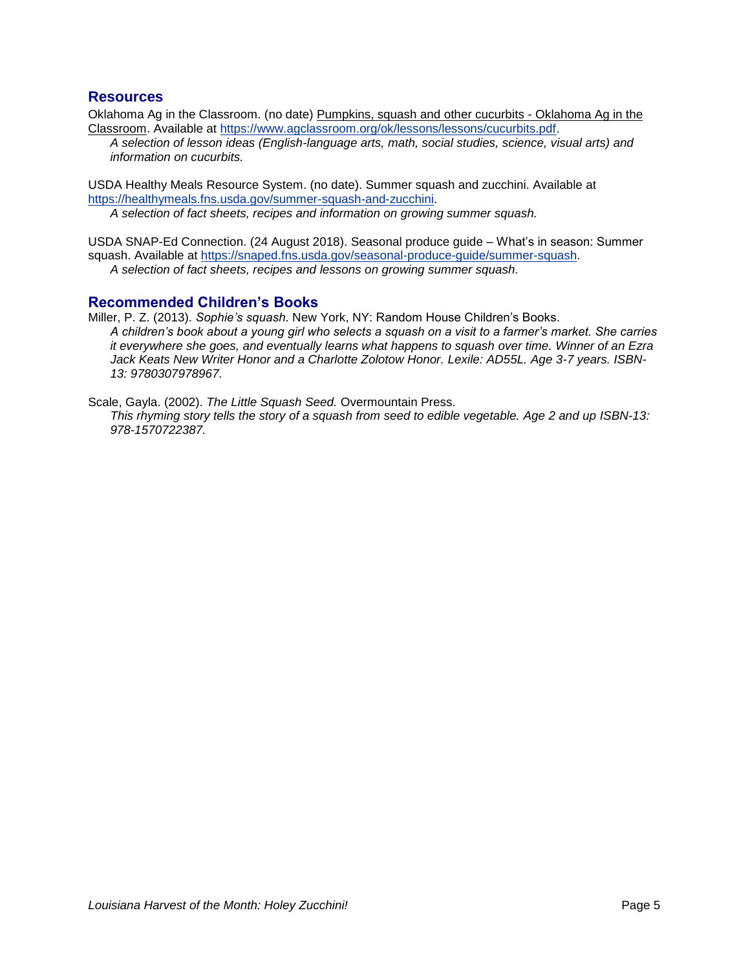## **Resources**

Oklahoma Ag in the Classroom. (no date) [Pumpkins, squash and other cucurbits -](https://www.google.com/url?sa=t&rct=j&q=&esrc=s&source=web&cd=15&ved=2ahUKEwjl3vKnrJ_dAhVphq0KHWNtAdAQFjAOegQIBBAC&url=http%3A%2F%2Faitc.okstate.edu%2Flessons%2Fcucurbits.pdf&usg=AOvVaw2haeajMMdFW1zLzVLyeBEw) Oklahoma Ag in the [Classroom.](https://www.google.com/url?sa=t&rct=j&q=&esrc=s&source=web&cd=15&ved=2ahUKEwjl3vKnrJ_dAhVphq0KHWNtAdAQFjAOegQIBBAC&url=http%3A%2F%2Faitc.okstate.edu%2Flessons%2Fcucurbits.pdf&usg=AOvVaw2haeajMMdFW1zLzVLyeBEw) Available at [https://www.agclassroom.org/ok/lessons/lessons/cucurbits.pdf.](https://www.agclassroom.org/ok/lessons/lessons/cucurbits.pdf)

*A selection of lesson ideas (English-language arts, math, social studies, science, visual arts) and information on cucurbits.*

USDA Healthy Meals Resource System. (no date). Summer squash and zucchini. Available at [https://healthymeals.fns.usda.gov/summer-squash-and-zucchini.](https://healthymeals.fns.usda.gov/summer-squash-and-zucchini)

*A selection of fact sheets, recipes and information on growing summer squash.*

USDA SNAP-Ed Connection. (24 August 2018). Seasonal produce guide – What's in season: Summer squash. Available at [https://snaped.fns.usda.gov/seasonal-produce-guide/summer-squash.](https://snaped.fns.usda.gov/seasonal-produce-guide/summer-squash) *A selection of fact sheets, recipes and lessons on growing summer squash.*

## **Recommended Children's Books**

Miller, P. Z. (2013). *Sophie's squash*. New York, NY: Random House Children's Books. *A children's book about a young girl who selects a squash on a visit to a farmer's market. She carries it everywhere she goes, and eventually learns what happens to squash over time. Winner of an Ezra Jack Keats New Writer Honor and a Charlotte Zolotow Honor. Lexile: AD55L. Age 3-7 years. ISBN-13: 9780307978967.*

Scale, Gayla. (2002). *The Little Squash Seed.* Overmountain Press. *This rhyming story tells the story of a squash from seed to edible vegetable. Age 2 and up ISBN-13: 978-1570722387.*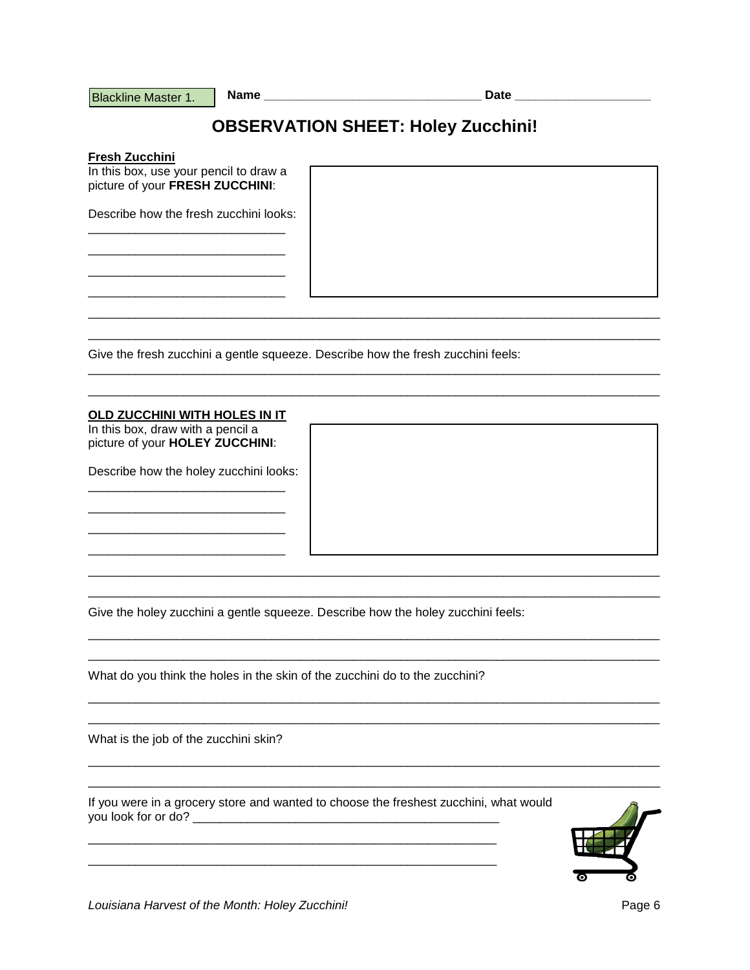**Blackline Master 1.** 

# **OBSERVATION SHEET: Holey Zucchini!**

Fresh Zucchini

In this box, use your pencil to draw a picture of your FRESH ZUCCHINI:

Describe how the fresh zucchini looks:

Give the fresh zucchini a gentle squeeze. Describe how the fresh zucchini feels:

#### OLD ZUCCHINI WITH HOLES IN IT

In this box, draw with a pencil a picture of your HOLEY ZUCCHINI:

Describe how the holey zucchini looks:

Give the holey zucchini a gentle squeeze. Describe how the holey zucchini feels:

What do you think the holes in the skin of the zucchini do to the zucchini?

What is the job of the zucchini skin?

If you were in a grocery store and wanted to choose the freshest zucchini, what would 



Louisiana Harvest of the Month: Holey Zucchini!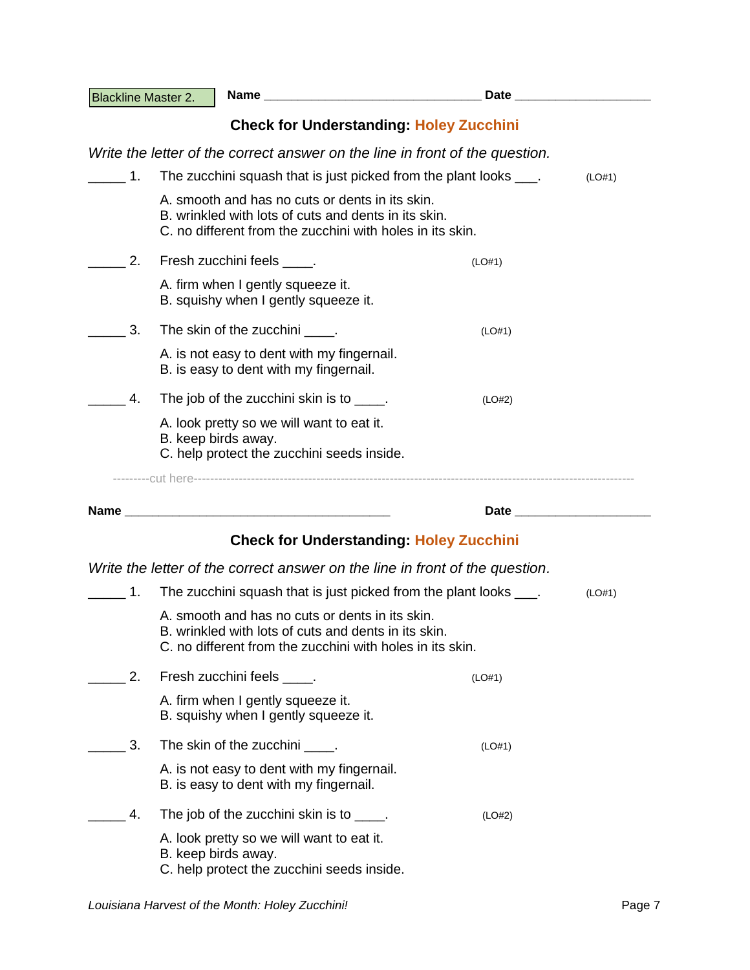| <b>Blackline Master 2.</b> |                                                                                                                                                                      | Date and the contract of the contract of the contract of the contract of the contract of the contract of the contract of the contract of the contract of the contract of the contract of the contract of the contract of the c |        |
|----------------------------|----------------------------------------------------------------------------------------------------------------------------------------------------------------------|--------------------------------------------------------------------------------------------------------------------------------------------------------------------------------------------------------------------------------|--------|
|                            |                                                                                                                                                                      | <b>Check for Understanding: Holey Zucchini</b>                                                                                                                                                                                 |        |
|                            |                                                                                                                                                                      | Write the letter of the correct answer on the line in front of the question.                                                                                                                                                   |        |
| $\mathbf{1}$ .             |                                                                                                                                                                      | The zucchini squash that is just picked from the plant looks ____.                                                                                                                                                             | (LO#1) |
|                            | A. smooth and has no cuts or dents in its skin.<br>B. wrinkled with lots of cuts and dents in its skin.<br>C. no different from the zucchini with holes in its skin. |                                                                                                                                                                                                                                |        |
| 2.                         | Fresh zucchini feels _____.                                                                                                                                          | (LO#1)                                                                                                                                                                                                                         |        |
|                            | A. firm when I gently squeeze it.<br>B. squishy when I gently squeeze it.                                                                                            |                                                                                                                                                                                                                                |        |
| 3.                         | The skin of the zucchini ____.                                                                                                                                       | (LO#1)                                                                                                                                                                                                                         |        |
|                            | A. is not easy to dent with my fingernail.<br>B. is easy to dent with my fingernail.                                                                                 |                                                                                                                                                                                                                                |        |
| 4.                         | The job of the zucchini skin is to _____.                                                                                                                            | (LO#2)                                                                                                                                                                                                                         |        |
|                            | A. look pretty so we will want to eat it.<br>B. keep birds away.<br>C. help protect the zucchini seeds inside.                                                       |                                                                                                                                                                                                                                |        |
|                            |                                                                                                                                                                      |                                                                                                                                                                                                                                |        |
|                            |                                                                                                                                                                      | Date and the contract of the contract of the contract of the contract of the contract of the contract of the contract of the contract of the contract of the contract of the contract of the contract of the contract of the c |        |
|                            |                                                                                                                                                                      | <b>Check for Understanding: Holey Zucchini</b>                                                                                                                                                                                 |        |
|                            |                                                                                                                                                                      | Write the letter of the correct answer on the line in front of the question.                                                                                                                                                   |        |
| 1.                         |                                                                                                                                                                      | The zucchini squash that is just picked from the plant looks ____.                                                                                                                                                             | (LO#1) |
|                            | A. smooth and has no cuts or dents in its skin.<br>B. wrinkled with lots of cuts and dents in its skin.<br>C. no different from the zucchini with holes in its skin. |                                                                                                                                                                                                                                |        |
| 2.                         | Fresh zucchini feels _____.                                                                                                                                          | (LO#1)                                                                                                                                                                                                                         |        |
|                            | A. firm when I gently squeeze it.<br>B. squishy when I gently squeeze it.                                                                                            |                                                                                                                                                                                                                                |        |
| 3.                         | The skin of the zucchini _____.                                                                                                                                      | (LO#1)                                                                                                                                                                                                                         |        |
|                            | A. is not easy to dent with my fingernail.<br>B. is easy to dent with my fingernail.                                                                                 |                                                                                                                                                                                                                                |        |
| 4.                         | The job of the zucchini skin is to _____.                                                                                                                            | (LO#2)                                                                                                                                                                                                                         |        |
|                            | A. look pretty so we will want to eat it.<br>B. keep birds away.<br>C. help protect the zucchini seeds inside.                                                       |                                                                                                                                                                                                                                |        |
|                            |                                                                                                                                                                      |                                                                                                                                                                                                                                |        |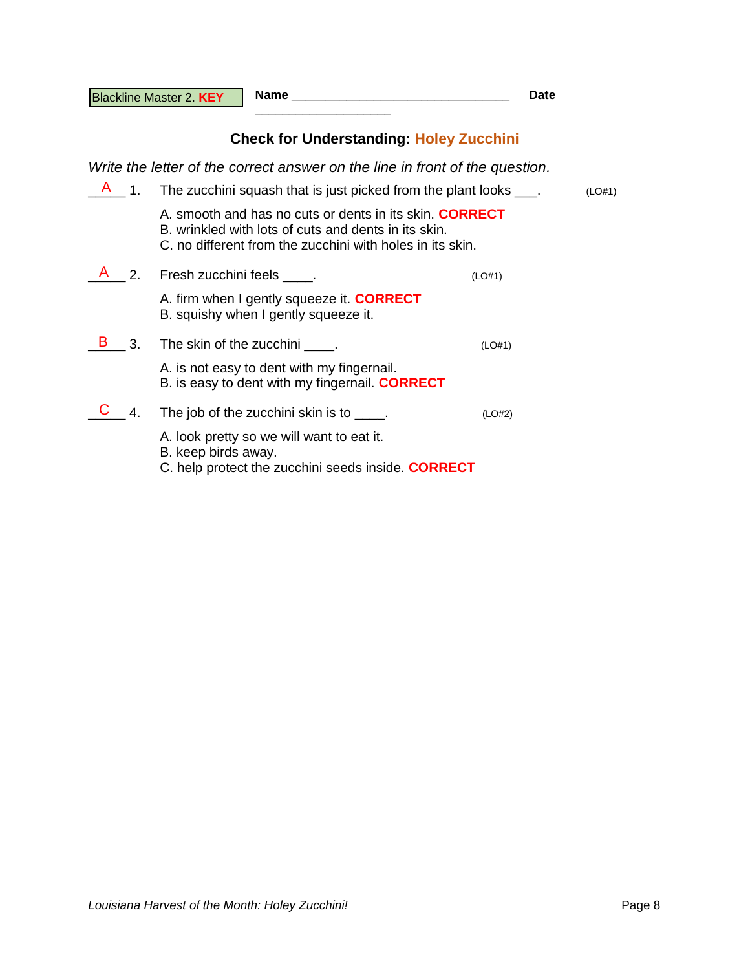**Name \_\_\_\_\_\_\_\_\_\_\_\_\_\_\_\_\_\_\_\_\_\_\_\_\_\_\_\_\_\_\_\_ Date** 

# **Check for Understanding: Holey Zucchini**

*Write the letter of the correct answer on the line in front of the question.*

**\_\_\_\_\_\_\_\_\_\_\_\_\_\_\_\_\_\_\_\_**

| $\overline{1}$ . | The zucchini squash that is just picked from the plant looks ____.                                                                                                                  |        |  |
|------------------|-------------------------------------------------------------------------------------------------------------------------------------------------------------------------------------|--------|--|
|                  | A. smooth and has no cuts or dents in its skin. <b>CORRECT</b><br>B, wrinkled with lots of cuts and dents in its skin.<br>C, no different from the zucchini with holes in its skin. |        |  |
| $\overline{2}$ . | Fresh zucchini feels .                                                                                                                                                              | (LO#1) |  |
|                  | A. firm when I gently squeeze it. <b>CORRECT</b><br>B. squishy when I gently squeeze it.                                                                                            |        |  |
| 3.               | The skin of the zucchini _____.                                                                                                                                                     | (LO#1) |  |
|                  | A. is not easy to dent with my fingernail.<br>B. is easy to dent with my fingernail. <b>CORRECT</b>                                                                                 |        |  |
| 4.               | The job of the zucchini skin is to _____.                                                                                                                                           | (LO#2) |  |
|                  | A. look pretty so we will want to eat it.<br>B. keep birds away.<br>C. help protect the zucchini seeds inside. <b>CORRECT</b>                                                       |        |  |